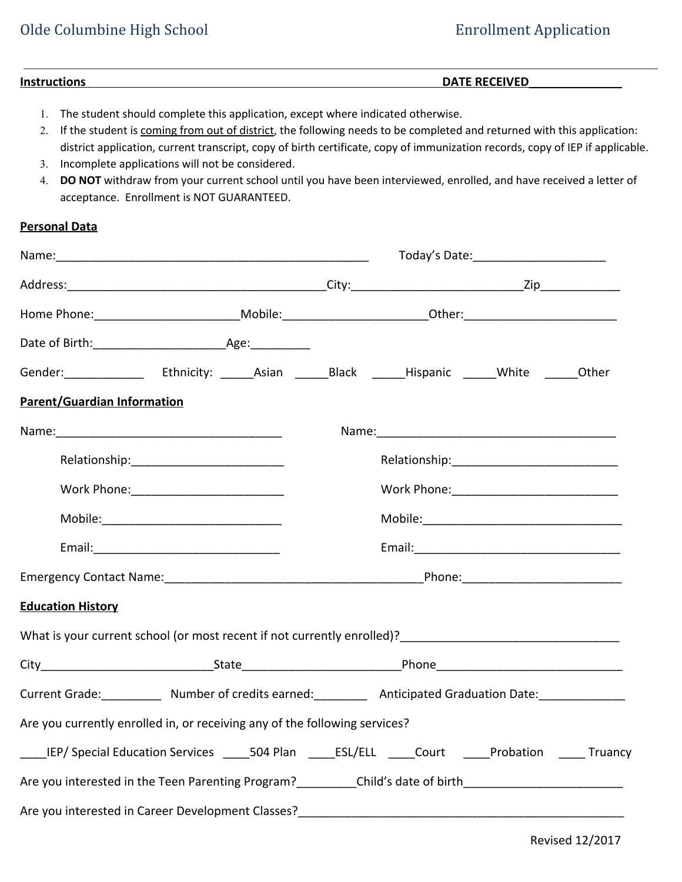## Olde Columbine High School **Enrollment Application**

### **Instructions DATE RECEIVED\_\_\_\_\_\_\_\_\_\_\_\_\_\_**

- 1. The student should complete this application, except where indicated otherwise.
- 2. If the student is coming from out of district, the following needs to be completed and returned with this application: district application, current transcript, copy of birth certificate, copy of immunization records, copy of IEP if applicable.
- 3. Incomplete applications will not be considered.
- 4. **DO NOT** withdraw from your current school until you have been interviewed, enrolled, and have received a letter of acceptance. Enrollment is NOT GUARANTEED.

### **Personal Data**

|                                                                                                                 |                                                                                                                                                                                                                                | Today's Date: _________________________ |  |  |  |  |
|-----------------------------------------------------------------------------------------------------------------|--------------------------------------------------------------------------------------------------------------------------------------------------------------------------------------------------------------------------------|-----------------------------------------|--|--|--|--|
|                                                                                                                 |                                                                                                                                                                                                                                |                                         |  |  |  |  |
| Home Phone:_____________________________Mobile:_________________________________0ther:________________________  |                                                                                                                                                                                                                                |                                         |  |  |  |  |
|                                                                                                                 |                                                                                                                                                                                                                                |                                         |  |  |  |  |
|                                                                                                                 | Gender: ______________ Ethnicity: ______Asian _______Black ______Hispanic ______White ______Other                                                                                                                              |                                         |  |  |  |  |
| <b>Parent/Guardian Information</b>                                                                              |                                                                                                                                                                                                                                |                                         |  |  |  |  |
|                                                                                                                 |                                                                                                                                                                                                                                |                                         |  |  |  |  |
|                                                                                                                 |                                                                                                                                                                                                                                |                                         |  |  |  |  |
|                                                                                                                 |                                                                                                                                                                                                                                |                                         |  |  |  |  |
|                                                                                                                 |                                                                                                                                                                                                                                |                                         |  |  |  |  |
|                                                                                                                 |                                                                                                                                                                                                                                |                                         |  |  |  |  |
| Emergency Contact Name: The Contact Of the Contract Of the Contract Of the Contract Of the Contract Of the Cont |                                                                                                                                                                                                                                |                                         |  |  |  |  |
| <b>Education History</b>                                                                                        |                                                                                                                                                                                                                                |                                         |  |  |  |  |
|                                                                                                                 | What is your current school (or most recent if not currently enrolled)? [2012] [2012] [2012] [2012] [2012] [2013] [2013] [2014] [2014] [2014] [2014] [2014] [2014] [2014] [2014] [2014] [2014] [2014] [2014] [2014] [2014] [20 |                                         |  |  |  |  |
|                                                                                                                 |                                                                                                                                                                                                                                |                                         |  |  |  |  |
|                                                                                                                 | Current Grade: Number of credits earned: Anticipated Graduation Date: Current Graduation Date:                                                                                                                                 |                                         |  |  |  |  |
|                                                                                                                 | Are you currently enrolled in, or receiving any of the following services?                                                                                                                                                     |                                         |  |  |  |  |
|                                                                                                                 | ____IEP/ Special Education Services _____504 Plan _____ESL/ELL _____Court _____Probation _____ Truancy                                                                                                                         |                                         |  |  |  |  |
|                                                                                                                 |                                                                                                                                                                                                                                |                                         |  |  |  |  |
|                                                                                                                 | Are you interested in Career Development Classes?                                                                                                                                                                              |                                         |  |  |  |  |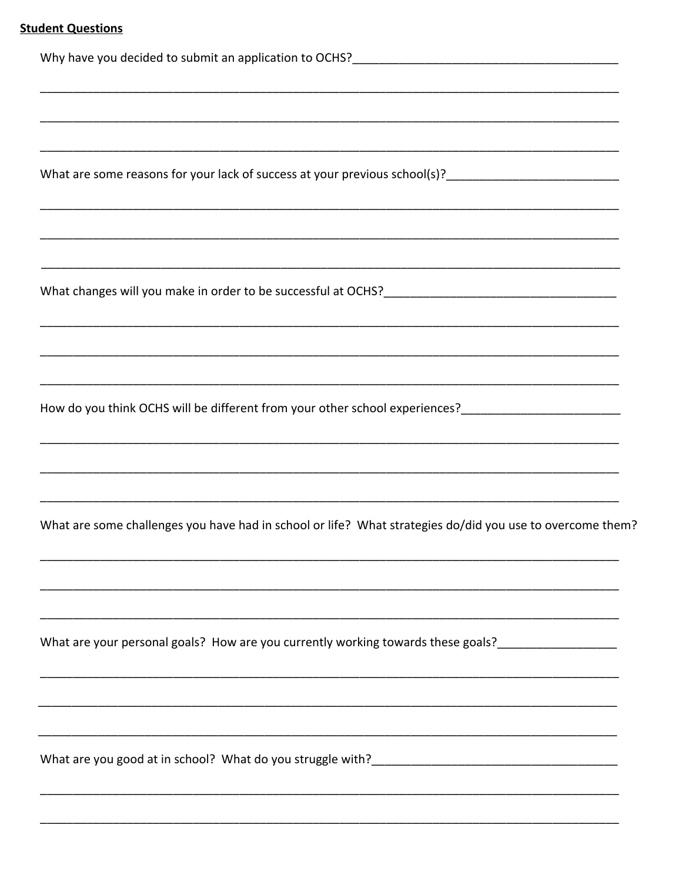| How do you think OCHS will be different from your other school experiences?_________________________      |
|-----------------------------------------------------------------------------------------------------------|
|                                                                                                           |
| What are some challenges you have had in school or life? What strategies do/did you use to overcome them? |
|                                                                                                           |
| What are your personal goals? How are you currently working towards these goals?___________________       |
|                                                                                                           |
|                                                                                                           |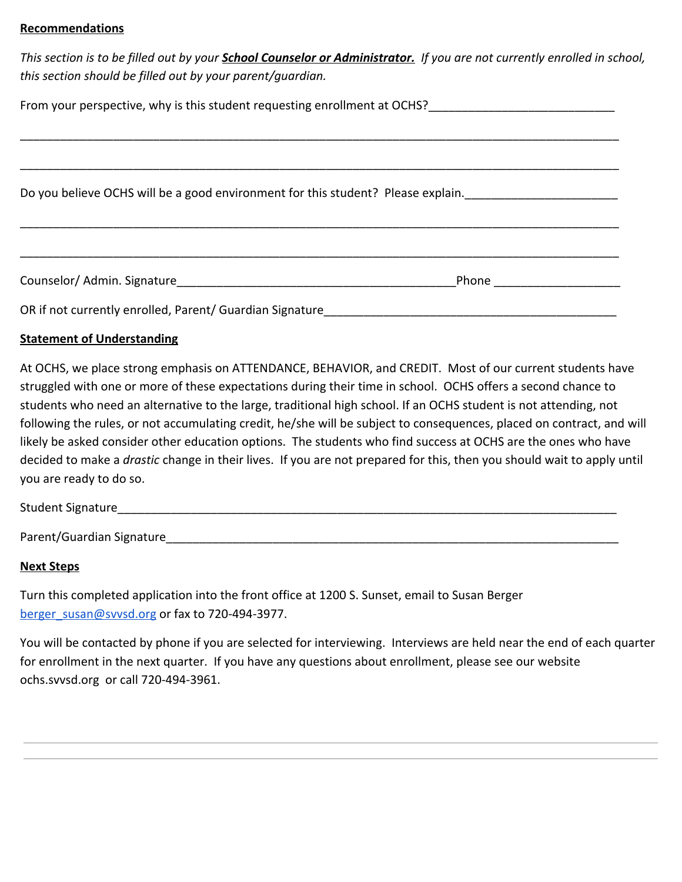#### **Recommendations**

*This section is to be filled out by your School Counselor or Administrator. If you are not currently enrolled in school, this section should be filled out by your parent/guardian.*

| From your perspective, why is this student requesting enrollment at OCHS?<br>From your perspective, why is this student requesting enrollment at OCHS? |       |  |  |  |  |
|--------------------------------------------------------------------------------------------------------------------------------------------------------|-------|--|--|--|--|
|                                                                                                                                                        |       |  |  |  |  |
| Do you believe OCHS will be a good environment for this student? Please explain.                                                                       |       |  |  |  |  |
|                                                                                                                                                        |       |  |  |  |  |
|                                                                                                                                                        |       |  |  |  |  |
| Counselor/ Admin. Signature                                                                                                                            | Phone |  |  |  |  |

OR if not currently enrolled, Parent/ Guardian Signature

### **Statement of Understanding**

At OCHS, we place strong emphasis on ATTENDANCE, BEHAVIOR, and CREDIT. Most of our current students have struggled with one or more of these expectations during their time in school. OCHS offers a second chance to students who need an alternative to the large, traditional high school. If an OCHS student is not attending, not following the rules, or not accumulating credit, he/she will be subject to consequences, placed on contract, and will likely be asked consider other education options. The students who find success at OCHS are the ones who have decided to make a *drastic* change in their lives. If you are not prepared for this, then you should wait to apply until you are ready to do so.

Student Signature\_\_\_\_\_\_\_\_\_\_\_\_\_\_\_\_\_\_\_\_\_\_\_\_\_\_\_\_\_\_\_\_\_\_\_\_\_\_\_\_\_\_\_\_\_\_\_\_\_\_\_\_\_\_\_\_\_\_\_\_\_\_\_\_\_\_\_\_\_\_\_\_\_\_\_

Parent/Guardian Signature\_\_\_\_\_\_\_\_\_\_\_\_\_\_\_\_\_\_\_\_\_\_\_\_\_\_\_\_\_\_\_\_\_\_\_\_\_\_\_\_\_\_\_\_\_\_\_\_\_\_\_\_\_\_\_\_\_\_\_\_\_\_\_\_\_\_\_\_

#### **Next Steps**

Turn this completed application into the front office at 1200 S. Sunset, email to Susan Berger [berger\\_susan@svvsd.org](mailto:berger_susan@svvsd.org) or fax to 720-494-3977.

You will be contacted by phone if you are selected for interviewing. Interviews are held near the end of each quarter for enrollment in the next quarter. If you have any questions about enrollment, please see our website ochs.svvsd.org or call 720-494-3961.